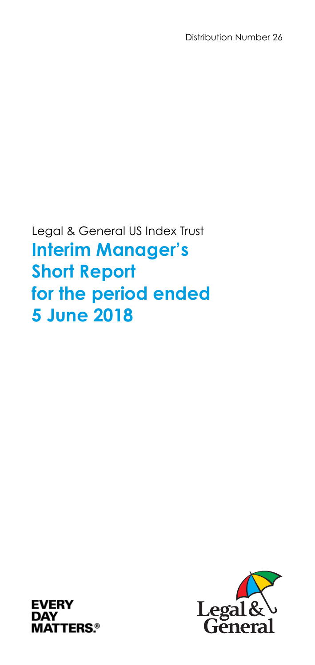Distribution Number 26

Legal & General US Index Trust **Interim Manager's Short Report for the period ended 5 June 2018** 



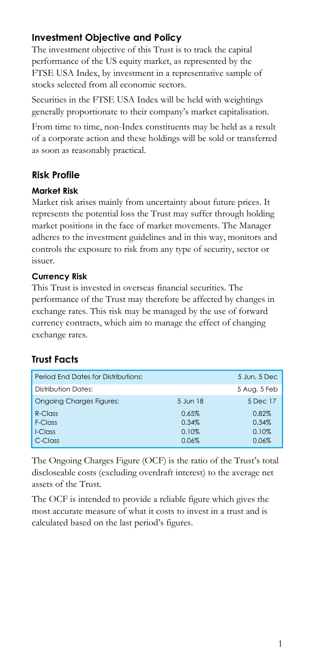# **Investment Objective and Policy**

The investment objective of this Trust is to track the capital performance of the US equity market, as represented by the FTSE USA Index, by investment in a representative sample of stocks selected from all economic sectors.

Securities in the FTSE USA Index will be held with weightings generally proportionate to their company's market capitalisation.

From time to time, non-Index constituents may be held as a result of a corporate action and these holdings will be sold or transferred as soon as reasonably practical.

# **Risk Profile**

#### **Market Risk**

Market risk arises mainly from uncertainty about future prices. It represents the potential loss the Trust may suffer through holding market positions in the face of market movements. The Manager adheres to the investment guidelines and in this way, monitors and controls the exposure to risk from any type of security, sector or issuer.

#### **Currency Risk**

This Trust is invested in overseas financial securities. The performance of the Trust may therefore be affected by changes in exchange rates. This risk may be managed by the use of forward currency contracts, which aim to manage the effect of changing exchange rates.

# **Trust Facts**

| Period End Dates for Distributions: |          | 5 Jun, 5 Dec |
|-------------------------------------|----------|--------------|
| Distribution Dates:                 |          | 5 Aug, 5 Feb |
| <b>Ongoing Charges Figures:</b>     | 5 Jun 18 | 5 Dec 17     |
| R-Class                             | 0.65%    | 0.82%        |
| F-Class                             | 0.34%    | 0.34%        |
| I-Class                             | 0.10%    | 0.10%        |
| C-Class                             | 0.06%    | 0.06%        |

The Ongoing Charges Figure (OCF) is the ratio of the Trust's total discloseable costs (excluding overdraft interest) to the average net assets of the Trust.

The OCF is intended to provide a reliable figure which gives the most accurate measure of what it costs to invest in a trust and is calculated based on the last period's figures.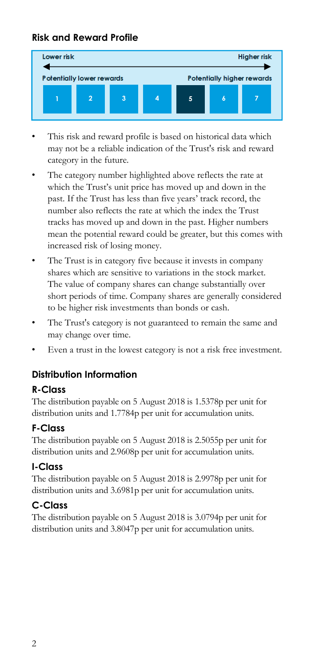## **Risk and Reward Profile**



- This risk and reward profile is based on historical data which may not be a reliable indication of the Trust's risk and reward category in the future.
- The category number highlighted above reflects the rate at which the Trust's unit price has moved up and down in the past. If the Trust has less than five years' track record, the number also reflects the rate at which the index the Trust tracks has moved up and down in the past. Higher numbers mean the potential reward could be greater, but this comes with increased risk of losing money.
- The Trust is in category five because it invests in company shares which are sensitive to variations in the stock market. The value of company shares can change substantially over short periods of time. Company shares are generally considered to be higher risk investments than bonds or cash.
- The Trust's category is not guaranteed to remain the same and may change over time.
- Even a trust in the lowest category is not a risk free investment.

# **Distribution Information**

#### **R-Class**

The distribution payable on 5 August 2018 is 1.5378p per unit for distribution units and 1.7784p per unit for accumulation units.

#### **F-Class**

The distribution payable on 5 August 2018 is 2.5055p per unit for distribution units and 2.9608p per unit for accumulation units.

#### **I-Class**

The distribution payable on 5 August 2018 is 2.9978p per unit for distribution units and 3.6981p per unit for accumulation units.

# **C-Class**

The distribution payable on 5 August 2018 is 3.0794p per unit for distribution units and 3.8047p per unit for accumulation units.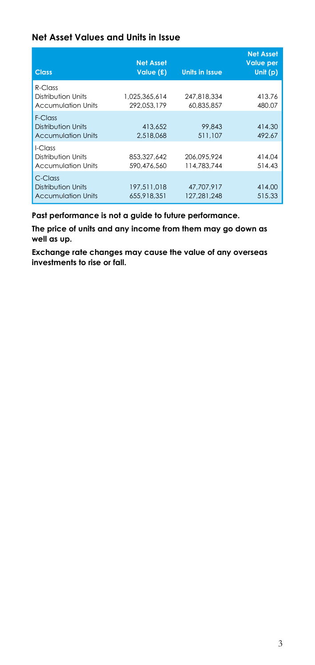#### **Net Asset Values and Units in Issue**

| <b>Class</b>                                                  | <b>Net Asset</b><br>Value (£) | <b>Units in Issue</b>      | <b>Net Asset</b><br><b>Value per</b><br>Unit $(p)$ |
|---------------------------------------------------------------|-------------------------------|----------------------------|----------------------------------------------------|
| $R$ -Class<br>Distribution Units<br><b>Accumulation Units</b> | 1.025.365.614<br>292.053.179  | 247.818.334<br>60.835.857  | 413.76<br>480.07                                   |
| F-Class<br>Distribution Units<br><b>Accumulation Units</b>    | 413.652<br>2,518,068          | 99.843<br>511.107          | 414.30<br>492.67                                   |
| I-Class<br>Distribution Units<br><b>Accumulation Units</b>    | 853.327.642<br>590.476.560    | 206.095.924<br>114.783.744 | 414.04<br>514.43                                   |
| C-Class<br>Distribution Units<br><b>Accumulation Units</b>    | 197.511.018<br>655.918.351    | 47.707.917<br>127.281.248  | 414.00<br>515.33                                   |

**Past performance is not a guide to future performance.** 

**The price of units and any income from them may go down as well as up.** 

**Exchange rate changes may cause the value of any overseas investments to rise or fall.**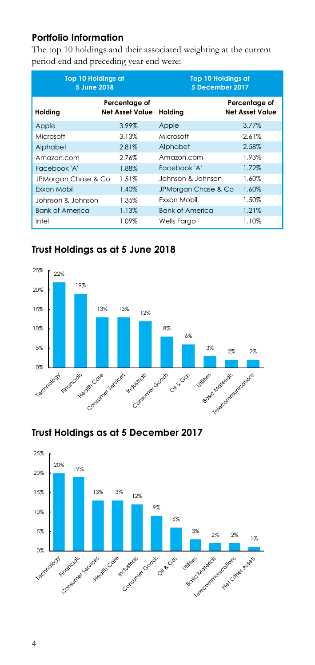## **Portfolio Information**

The top 10 holdings and their associated weighting at the current period end and preceding year end were:

| <b>Top 10 Holdings at</b><br>5 June 2018 |                                         | <b>Top 10 Holdings at</b><br>5 December 2017 |                                         |
|------------------------------------------|-----------------------------------------|----------------------------------------------|-----------------------------------------|
| Holding                                  | Percentage of<br><b>Net Asset Value</b> | Holdina                                      | Percentage of<br><b>Net Asset Value</b> |
| Apple                                    | 3.99%                                   | Apple                                        | 3.77%                                   |
| Microsoft                                | 3.13%                                   | Microsoft                                    | 2.61%                                   |
| Alphabet                                 | 2.81%                                   | Alphabet                                     | 2.58%                                   |
| Amazon.com                               | 2.76%                                   | Amazon.com                                   | 1.93%                                   |
| Facebook 'A'                             | 1.88%                                   | Facebook 'A'                                 | 1.72%                                   |
| JPMorgan Chase & Co                      | 1.51%                                   | Johnson & Johnson                            | 1.60%                                   |
| Exxon Mobil                              | 1.40%                                   | JPMorgan Chase & Co                          | 1.60%                                   |
| Johnson & Johnson                        | 1.35%                                   | Fxxon Mobil                                  | 1.50%                                   |
| <b>Bank of America</b>                   | 1.13%                                   | <b>Bank of America</b>                       | 1.21%                                   |
| Intel                                    | 1.09%                                   | Wells Fargo                                  | 1.10%                                   |

# **Trust Holdings as at 5 June 2018**



# **Trust Holdings as at 5 December 2017**

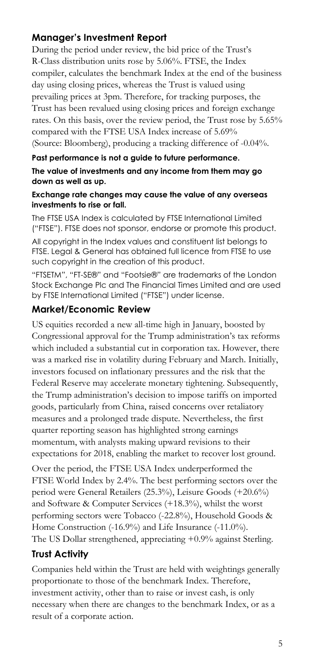# **Manager's Investment Report**

During the period under review, the bid price of the Trust's R-Class distribution units rose by 5.06%. FTSE, the Index compiler, calculates the benchmark Index at the end of the business day using closing prices, whereas the Trust is valued using prevailing prices at 3pm. Therefore, for tracking purposes, the Trust has been revalued using closing prices and foreign exchange rates. On this basis, over the review period, the Trust rose by 5.65% compared with the FTSE USA Index increase of 5.69% (Source: Bloomberg), producing a tracking difference of -0.04%.

#### **Past performance is not a guide to future performance.**

#### **The value of investments and any income from them may go down as well as up.**

#### **Exchange rate changes may cause the value of any overseas investments to rise or fall.**

The FTSE USA Index is calculated by FTSE International Limited ("FTSE"). FTSE does not sponsor, endorse or promote this product.

All copyright in the Index values and constituent list belongs to FTSE. Legal & General has obtained full licence from FTSE to use such copyright in the creation of this product.

"FTSETM", "FT-SE®" and "Footsie®" are trademarks of the London Stock Exchange Plc and The Financial Times Limited and are used by FTSE International Limited ("FTSE") under license.

#### **Market/Economic Review**

US equities recorded a new all-time high in January, boosted by Congressional approval for the Trump administration's tax reforms which included a substantial cut in corporation tax. However, there was a marked rise in volatility during February and March. Initially, investors focused on inflationary pressures and the risk that the Federal Reserve may accelerate monetary tightening. Subsequently, the Trump administration's decision to impose tariffs on imported goods, particularly from China, raised concerns over retaliatory measures and a prolonged trade dispute. Nevertheless, the first quarter reporting season has highlighted strong earnings momentum, with analysts making upward revisions to their expectations for 2018, enabling the market to recover lost ground.

Over the period, the FTSE USA Index underperformed the FTSE World Index by 2.4%. The best performing sectors over the period were General Retailers (25.3%), Leisure Goods (+20.6%) and Software & Computer Services (+18.3%), whilst the worst performing sectors were Tobacco (-22.8%), Household Goods & Home Construction (-16.9%) and Life Insurance (-11.0%). The US Dollar strengthened, appreciating +0.9% against Sterling.

# **Trust Activity**

Companies held within the Trust are held with weightings generally proportionate to those of the benchmark Index. Therefore, investment activity, other than to raise or invest cash, is only necessary when there are changes to the benchmark Index, or as a result of a corporate action.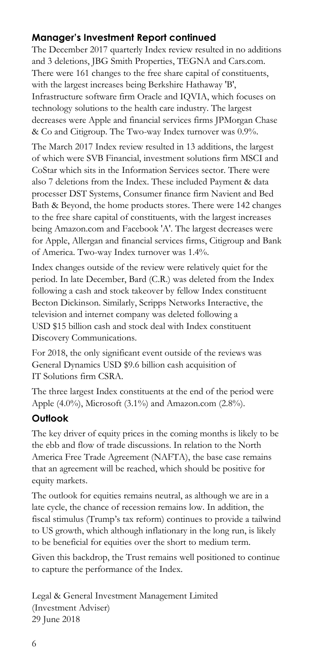# **Manager's Investment Report continued**

The December 2017 quarterly Index review resulted in no additions and 3 deletions, JBG Smith Properties, TEGNA and Cars.com. There were 161 changes to the free share capital of constituents, with the largest increases being Berkshire Hathaway 'B', Infrastructure software firm Oracle and IQVIA, which focuses on technology solutions to the health care industry. The largest decreases were Apple and financial services firms JPMorgan Chase & Co and Citigroup. The Two-way Index turnover was 0.9%.

The March 2017 Index review resulted in 13 additions, the largest of which were SVB Financial, investment solutions firm MSCI and CoStar which sits in the Information Services sector. There were also 7 deletions from the Index. These included Payment & data processer DST Systems, Consumer finance firm Navient and Bed Bath & Beyond, the home products stores. There were 142 changes to the free share capital of constituents, with the largest increases being Amazon.com and Facebook 'A'. The largest decreases were for Apple, Allergan and financial services firms, Citigroup and Bank of America. Two-way Index turnover was 1.4%.

Index changes outside of the review were relatively quiet for the period. In late December, Bard (C.R.) was deleted from the Index following a cash and stock takeover by fellow Index constituent Becton Dickinson. Similarly, Scripps Networks Interactive, the television and internet company was deleted following a USD \$15 billion cash and stock deal with Index constituent Discovery Communications.

For 2018, the only significant event outside of the reviews was General Dynamics USD \$9.6 billion cash acquisition of IT Solutions firm CSRA.

The three largest Index constituents at the end of the period were Apple  $(4.0\%)$ , Microsoft  $(3.1\%)$  and Amazon.com  $(2.8\%)$ .

#### **Outlook**

The key driver of equity prices in the coming months is likely to be the ebb and flow of trade discussions. In relation to the North America Free Trade Agreement (NAFTA), the base case remains that an agreement will be reached, which should be positive for equity markets.

The outlook for equities remains neutral, as although we are in a late cycle, the chance of recession remains low. In addition, the fiscal stimulus (Trump's tax reform) continues to provide a tailwind to US growth, which although inflationary in the long run, is likely to be beneficial for equities over the short to medium term.

Given this backdrop, the Trust remains well positioned to continue to capture the performance of the Index.

Legal & General Investment Management Limited (Investment Adviser) 29 June 2018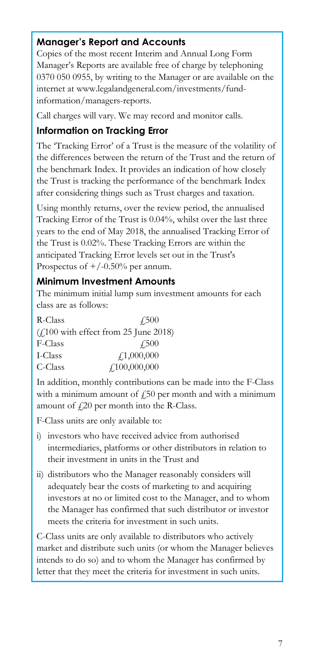# **Manager's Report and Accounts**

Copies of the most recent Interim and Annual Long Form Manager's Reports are available free of charge by telephoning 0370 050 0955, by writing to the Manager or are available on the internet at www.legalandgeneral.com/investments/fundinformation/managers-reports.

Call charges will vary. We may record and monitor calls.

#### **Information on Tracking Error**

The 'Tracking Error' of a Trust is the measure of the volatility of the differences between the return of the Trust and the return of the benchmark Index. It provides an indication of how closely the Trust is tracking the performance of the benchmark Index after considering things such as Trust charges and taxation.

Using monthly returns, over the review period, the annualised Tracking Error of the Trust is 0.04%, whilst over the last three years to the end of May 2018, the annualised Tracking Error of the Trust is 0.02%. These Tracking Errors are within the anticipated Tracking Error levels set out in the Trust's Prospectus of  $+/-0.50%$  per annum.

#### **Minimum Investment Amounts**

The minimum initial lump sum investment amounts for each class are as follows:

| R-Class | 4.500                                                    |
|---------|----------------------------------------------------------|
|         | $(f100 \text{ with effect from } 25 \text{ June } 2018)$ |
| F-Class | £500                                                     |
| I-Class | 4.1,000,000                                              |
| C-Class | £100,000,000                                             |

In addition, monthly contributions can be made into the F-Class with a minimum amount of  $\dot{\psi}$  per month and with a minimum amount of  $f(20)$  per month into the R-Class.

F-Class units are only available to:

- i) investors who have received advice from authorised intermediaries, platforms or other distributors in relation to their investment in units in the Trust and
- ii) distributors who the Manager reasonably considers will adequately bear the costs of marketing to and acquiring investors at no or limited cost to the Manager, and to whom the Manager has confirmed that such distributor or investor meets the criteria for investment in such units.

C-Class units are only available to distributors who actively market and distribute such units (or whom the Manager believes intends to do so) and to whom the Manager has confirmed by letter that they meet the criteria for investment in such units.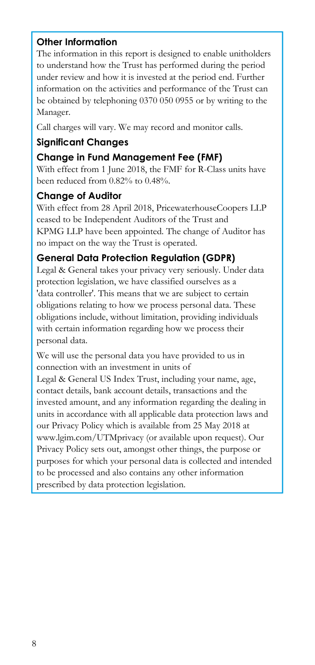#### **Other Information**

The information in this report is designed to enable unitholders to understand how the Trust has performed during the period under review and how it is invested at the period end. Further information on the activities and performance of the Trust can be obtained by telephoning 0370 050 0955 or by writing to the Manager.

Call charges will vary. We may record and monitor calls.

# **Significant Changes**

# **Change in Fund Management Fee (FMF)**

With effect from 1 June 2018, the FMF for R-Class units have been reduced from 0.82% to 0.48%.

#### **Change of Auditor**

With effect from 28 April 2018, PricewaterhouseCoopers LLP ceased to be Independent Auditors of the Trust and KPMG LLP have been appointed. The change of Auditor has no impact on the way the Trust is operated.

# **General Data Protection Regulation (GDPR)**

Legal & General takes your privacy very seriously. Under data protection legislation, we have classified ourselves as a 'data controller'. This means that we are subject to certain obligations relating to how we process personal data. These obligations include, without limitation, providing individuals with certain information regarding how we process their personal data.

We will use the personal data you have provided to us in connection with an investment in units of

Legal & General US Index Trust, including your name, age, contact details, bank account details, transactions and the invested amount, and any information regarding the dealing in units in accordance with all applicable data protection laws and our Privacy Policy which is available from 25 May 2018 at www.lgim.com/UTMprivacy (or available upon request). Our Privacy Policy sets out, amongst other things, the purpose or purposes for which your personal data is collected and intended to be processed and also contains any other information prescribed by data protection legislation.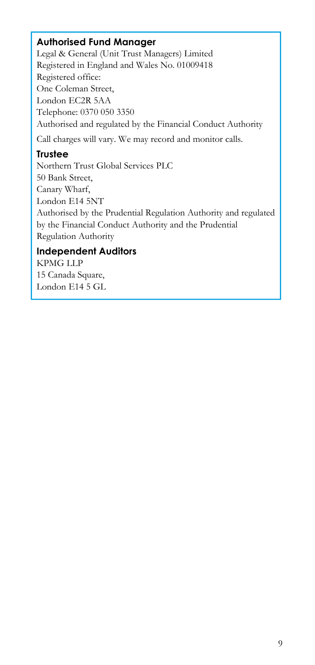#### **Authorised Fund Manager**

Legal & General (Unit Trust Managers) Limited Registered in England and Wales No. 01009418 Registered office: One Coleman Street, London EC2R 5AA Telephone: 0370 050 3350 Authorised and regulated by the Financial Conduct Authority Call charges will vary. We may record and monitor calls.

#### **Trustee**

Northern Trust Global Services PLC 50 Bank Street, Canary Wharf, London E14 5NT Authorised by the Prudential Regulation Authority and regulated by the Financial Conduct Authority and the Prudential Regulation Authority

# **Independent Auditors**

KPMG LLP 15 Canada Square, London E14 5 GL